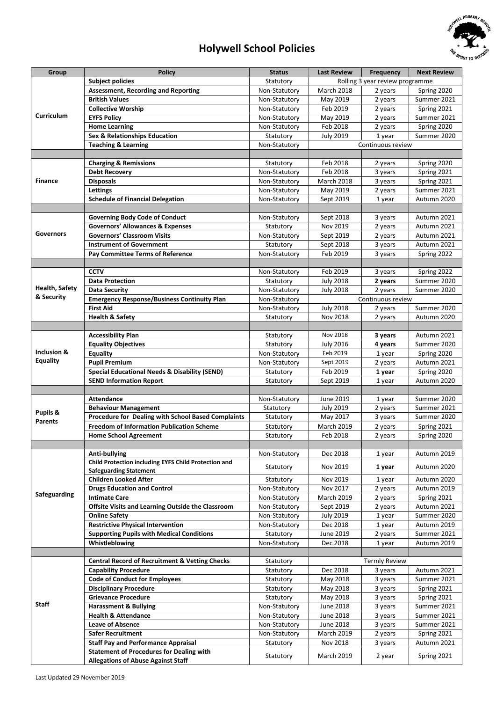

## **Holywell School Policies**

| Group                               | <b>Policy</b>                                             | <b>Status</b> | <b>Last Review</b> | <b>Frequency</b>                | <b>Next Review</b> |
|-------------------------------------|-----------------------------------------------------------|---------------|--------------------|---------------------------------|--------------------|
| Curriculum                          | <b>Subject policies</b>                                   | Statutory     |                    | Rolling 3 year review programme |                    |
|                                     | <b>Assessment, Recording and Reporting</b>                | Non-Statutory | <b>March 2018</b>  | 2 years                         | Spring 2020        |
|                                     | <b>British Values</b>                                     | Non-Statutory | May 2019           | 2 years                         | Summer 2021        |
|                                     | <b>Collective Worship</b>                                 | Non-Statutory | Feb 2019           | 2 years                         | Spring 2021        |
|                                     | <b>EYFS Policy</b>                                        | Non-Statutory | May 2019           | 2 years                         | Summer 2021        |
|                                     | <b>Home Learning</b>                                      | Non-Statutory | Feb 2018           | 2 years                         | Spring 2020        |
|                                     | Sex & Relationships Education                             | Statutory     | <b>July 2019</b>   | 1 year                          | Summer 2020        |
|                                     | <b>Teaching &amp; Learning</b>                            | Non-Statutory |                    | Continuous review               |                    |
|                                     |                                                           |               |                    |                                 |                    |
| <b>Finance</b>                      | <b>Charging &amp; Remissions</b>                          | Statutory     | Feb 2018           | 2 years                         | Spring 2020        |
|                                     | <b>Debt Recovery</b>                                      | Non-Statutory | Feb 2018           | 3 years                         | Spring 2021        |
|                                     | <b>Disposals</b>                                          | Non-Statutory | <b>March 2018</b>  | 3 years                         | Spring 2021        |
|                                     | Lettings                                                  | Non-Statutory | May 2019           | 2 years                         | Summer 2021        |
|                                     | <b>Schedule of Financial Delegation</b>                   | Non-Statutory | Sept 2019          | 1 year                          | Autumn 2020        |
|                                     |                                                           |               |                    |                                 |                    |
| Governors                           | <b>Governing Body Code of Conduct</b>                     | Non-Statutory | Sept 2018          | 3 years                         | Autumn 2021        |
|                                     | <b>Governors' Allowances &amp; Expenses</b>               | Statutory     | Nov 2019           | 2 years                         | Autumn 2021        |
|                                     | <b>Governors' Classroom Visits</b>                        | Non-Statutory | Sept 2019          | 2 years                         | Autumn 2021        |
|                                     | <b>Instrument of Government</b>                           | Statutory     | Sept 2018          | 3 years                         | Autumn 2021        |
|                                     | Pay Committee Terms of Reference                          | Non-Statutory | Feb 2019           | 3 years                         | Spring 2022        |
|                                     |                                                           |               |                    |                                 |                    |
|                                     | <b>CCTV</b>                                               | Non-Statutory | Feb 2019           | 3 years                         | Spring 2022        |
|                                     | <b>Data Protection</b>                                    | Statutory     | <b>July 2018</b>   | 2 years                         | Summer 2020        |
| <b>Health, Safety</b><br>& Security | <b>Data Security</b>                                      | Non-Statutory | <b>July 2018</b>   | 2 years                         | Summer 2020        |
|                                     | <b>Emergency Response/Business Continuity Plan</b>        | Non-Statutory |                    | Continuous review               |                    |
|                                     | <b>First Aid</b>                                          | Non-Statutory | <b>July 2018</b>   | 2 years                         | Summer 2020        |
|                                     | <b>Health &amp; Safety</b>                                | Statutory     | Nov 2018           | 2 years                         | Autumn 2020        |
|                                     |                                                           |               |                    |                                 |                    |
|                                     | <b>Accessibility Plan</b>                                 | Statutory     | Nov 2018           | 3 years                         | Autumn 2021        |
| Inclusion &<br><b>Equality</b>      | <b>Equality Objectives</b>                                | Statutory     | <b>July 2016</b>   | 4 years                         | Summer 2020        |
|                                     | Equality                                                  | Non-Statutory | Feb 2019           | 1 year                          | Spring 2020        |
|                                     | <b>Pupil Premium</b>                                      | Non-Statutory | Sept 2019          | 2 years                         | Autumn 2021        |
|                                     | <b>Special Educational Needs &amp; Disability (SEND)</b>  | Statutory     | Feb 2019           | 1 year                          | Spring 2020        |
|                                     | <b>SEND Information Report</b>                            | Statutory     | Sept 2019          | 1 year                          | Autumn 2020        |
| Pupils &<br><b>Parents</b>          | <b>Attendance</b>                                         | Non-Statutory | June 2019          |                                 | Summer 2020        |
|                                     | <b>Behaviour Management</b>                               | Statutory     | <b>July 2019</b>   | 1 year<br>2 years               | Summer 2021        |
|                                     | Procedure for Dealing with School Based Complaints        | Statutory     | May 2017           | 3 years                         | Summer 2020        |
|                                     | <b>Freedom of Information Publication Scheme</b>          | Statutory     | <b>March 2019</b>  | 2 years                         | Spring 2021        |
|                                     | <b>Home School Agreement</b>                              | Statutory     | Feb 2018           | 2 years                         | Spring 2020        |
|                                     |                                                           |               |                    |                                 |                    |
|                                     | Anti-bullying                                             | Non-Statutory | Dec 2018           | 1 year                          | Autumn 2019        |
| Safeguarding                        | Child Protection including EYFS Child Protection and      |               |                    |                                 |                    |
|                                     | <b>Safeguarding Statement</b>                             | Statutory     | Nov 2019           | 1 year                          | Autumn 2020        |
|                                     | <b>Children Looked After</b>                              | Statutory     | Nov 2019           | 1 year                          | Autumn 2020        |
|                                     | <b>Drugs Education and Control</b>                        | Non-Statutory | Nov 2017           | 2 years                         | Autumn 2019        |
|                                     | <b>Intimate Care</b>                                      | Non-Statutory | <b>March 2019</b>  | 2 years                         | Spring 2021        |
|                                     | Offsite Visits and Learning Outside the Classroom         | Non-Statutory | Sept 2019          | 2 years                         | Autumn 2021        |
|                                     | <b>Online Safety</b>                                      | Non-Statutory | <b>July 2019</b>   | 1 year                          | Summer 2020        |
|                                     | <b>Restrictive Physical Intervention</b>                  | Non-Statutory | Dec 2018           | 1 year                          | Autumn 2019        |
|                                     | <b>Supporting Pupils with Medical Conditions</b>          | Statutory     | June 2019          | 2 years                         | Summer 2021        |
|                                     | Whistleblowing                                            | Non-Statutory | Dec 2018           | 1 year                          | Autumn 2019        |
|                                     |                                                           |               |                    |                                 |                    |
| Staff                               | <b>Central Record of Recruitment &amp; Vetting Checks</b> | Statutory     |                    | <b>Termly Review</b>            |                    |
|                                     | <b>Capability Procedure</b>                               | Statutory     | Dec 2018           | 3 years                         | Autumn 2021        |
|                                     | <b>Code of Conduct for Employees</b>                      | Statutory     | May 2018           | 3 years                         | Summer 2021        |
|                                     | <b>Disciplinary Procedure</b>                             | Statutory     | May 2018           | 3 years                         | Spring 2021        |
|                                     | <b>Grievance Procedure</b>                                | Statutory     | May 2018           | 3 years                         | Spring 2021        |
|                                     | <b>Harassment &amp; Bullying</b>                          | Non-Statutory | June 2018          | 3 years                         | Summer 2021        |
|                                     | <b>Health &amp; Attendance</b>                            | Non-Statutory | June 2018          | 3 years                         | Summer 2021        |
|                                     | <b>Leave of Absence</b>                                   | Non-Statutory | June 2018          | 3 years                         | Summer 2021        |
|                                     | <b>Safer Recruitment</b>                                  | Non-Statutory | <b>March 2019</b>  | 2 years                         | Spring 2021        |
|                                     | <b>Staff Pay and Performance Appraisal</b>                | Statutory     | Nov 2018           | 3 years                         | Autumn 2021        |
|                                     | <b>Statement of Procedures for Dealing with</b>           | Statutory     | March 2019         | 2 year                          | Spring 2021        |
|                                     | <b>Allegations of Abuse Against Staff</b>                 |               |                    |                                 |                    |